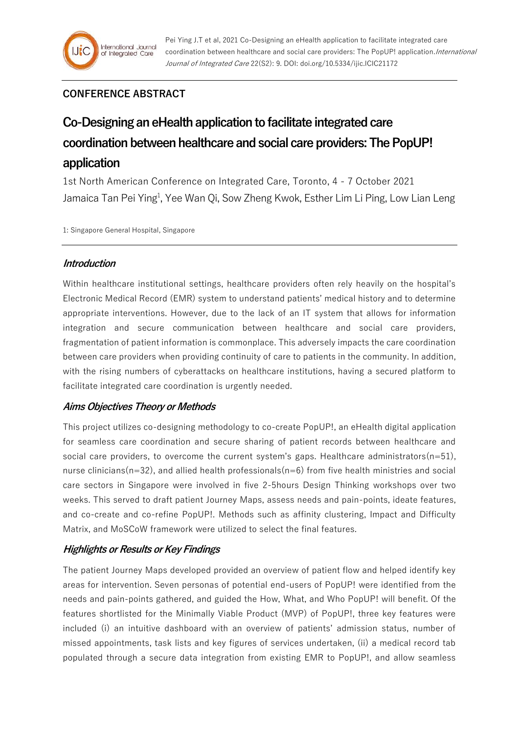## **CONFERENCE ABSTRACT**

# **Co-Designing an eHealth application to facilitate integrated care coordination between healthcare and social care providers: The PopUP! application**

1st North American Conference on Integrated Care, Toronto, 4 - 7 October 2021 Jamaica Tan Pei Ying<sup>1</sup>, Yee Wan Qi, Sow Zheng Kwok, Esther Lim Li Ping, Low Lian Leng

1: Singapore General Hospital, Singapore

### **Introduction**

Within healthcare institutional settings, healthcare providers often rely heavily on the hospital's Electronic Medical Record (EMR) system to understand patients' medical history and to determine appropriate interventions. However, due to the lack of an IT system that allows for information integration and secure communication between healthcare and social care providers, fragmentation of patient information is commonplace. This adversely impacts the care coordination between care providers when providing continuity of care to patients in the community. In addition, with the rising numbers of cyberattacks on healthcare institutions, having a secured platform to facilitate integrated care coordination is urgently needed.

## **Aims Objectives Theory or Methods**

This project utilizes co-designing methodology to co-create PopUP!, an eHealth digital application for seamless care coordination and secure sharing of patient records between healthcare and social care providers, to overcome the current system's gaps. Healthcare administrators $(n=51)$ , nurse clinicians( $n=32$ ), and allied health professionals( $n=6$ ) from five health ministries and social care sectors in Singapore were involved in five 2-5hours Design Thinking workshops over two weeks. This served to draft patient Journey Maps, assess needs and pain-points, ideate features, and co-create and co-refine PopUP!. Methods such as affinity clustering, Impact and Difficulty Matrix, and MoSCoW framework were utilized to select the final features.

## **Highlights or Results or Key Findings**

The patient Journey Maps developed provided an overview of patient flow and helped identify key areas for intervention. Seven personas of potential end-users of PopUP! were identified from the needs and pain-points gathered, and guided the How, What, and Who PopUP! will benefit. Of the features shortlisted for the Minimally Viable Product (MVP) of PopUP!, three key features were included (i) an intuitive dashboard with an overview of patients' admission status, number of missed appointments, task lists and key figures of services undertaken, (ii) a medical record tab populated through a secure data integration from existing EMR to PopUP!, and allow seamless